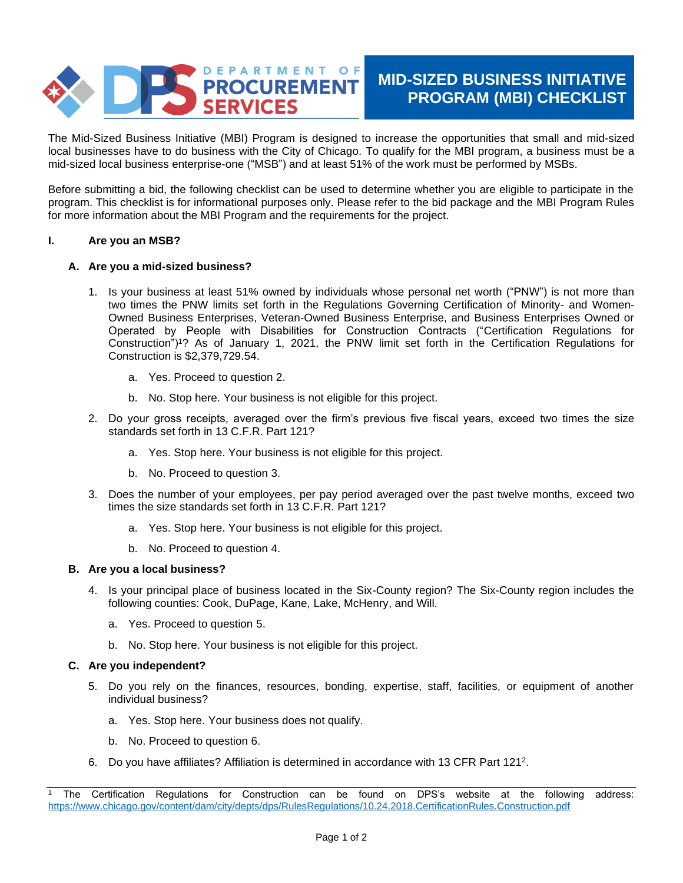

# **MID-SIZED BUSINESS INITIATIVE PROGRAM (MBI) CHECKLIST**

The Mid-Sized Business Initiative (MBI) Program is designed to increase the opportunities that small and mid-sized local businesses have to do business with the City of Chicago. To qualify for the MBI program, a business must be a mid-sized local business enterprise-one ("MSB") and at least 51% of the work must be performed by MSBs.

Before submitting a bid, the following checklist can be used to determine whether you are eligible to participate in the program. This checklist is for informational purposes only. Please refer to the bid package and the MBI Program Rules for more information about the MBI Program and the requirements for the project.

### **I. Are you an MSB?**

# **A. Are you a mid-sized business?**

- 1. Is your business at least 51% owned by individuals whose personal net worth ("PNW") is not more than two times the PNW limits set forth in the Regulations Governing Certification of Minority- and Women-Owned Business Enterprises, Veteran-Owned Business Enterprise, and Business Enterprises Owned or Operated by People with Disabilities for Construction Contracts ("Certification Regulations for Construction")<sup>1</sup>? As of January 1, 2021, the PNW limit set forth in the Certification Regulations for Construction is \$2,379,729.54.
	- a. Yes. Proceed to question 2.
	- b. No. Stop here. Your business is not eligible for this project.
- 2. Do your gross receipts, averaged over the firm's previous five fiscal years, exceed two times the size standards set forth in 13 C.F.R. Part 121?
	- a. Yes. Stop here. Your business is not eligible for this project.
	- b. No. Proceed to question 3.
- 3. Does the number of your employees, per pay period averaged over the past twelve months, exceed two times the size standards set forth in 13 C.F.R. Part 121?
	- a. Yes. Stop here. Your business is not eligible for this project.
	- b. No. Proceed to question 4.

### **B. Are you a local business?**

- 4. Is your principal place of business located in the Six-County region? The Six-County region includes the following counties: Cook, DuPage, Kane, Lake, McHenry, and Will.
	- a. Yes. Proceed to question 5.
	- b. No. Stop here. Your business is not eligible for this project.

### **C. Are you independent?**

- 5. Do you rely on the finances, resources, bonding, expertise, staff, facilities, or equipment of another individual business?
	- a. Yes. Stop here. Your business does not qualify.
	- b. No. Proceed to question 6.
- 6. Do you have affiliates? Affiliation is determined in accordance with 13 CFR Part 121<sup>2</sup> .

<sup>1</sup> The Certification Regulations for Construction can be found on DPS's website at the following address: <https://www.chicago.gov/content/dam/city/depts/dps/RulesRegulations/10.24.2018.CertificationRules.Construction.pdf>